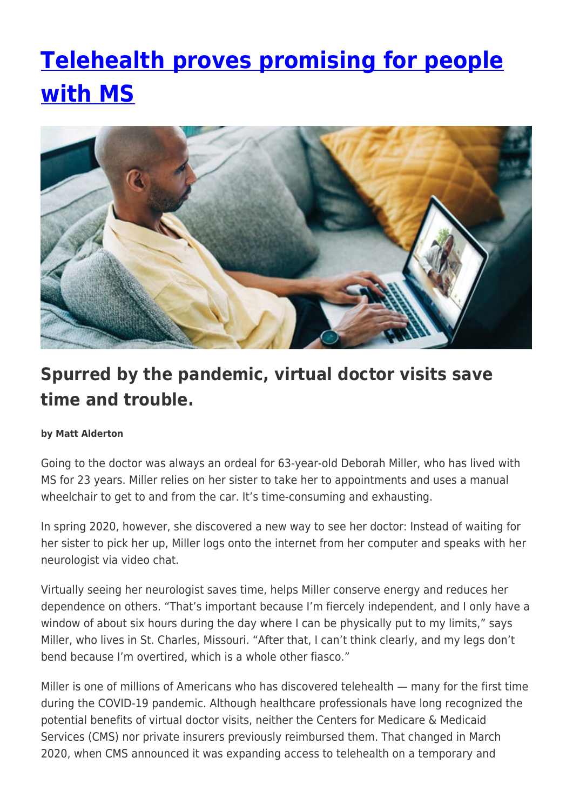# **[Telehealth proves promising for people](https://momentummagazineonline.com/telehealth-ms/) [with MS](https://momentummagazineonline.com/telehealth-ms/)**



## **Spurred by the pandemic, virtual doctor visits save time and trouble.**

#### **by Matt Alderton**

Going to the doctor was always an ordeal for 63-year-old Deborah Miller, who has lived with MS for 23 years. Miller relies on her sister to take her to appointments and uses a manual wheelchair to get to and from the car. It's time-consuming and exhausting.

In spring 2020, however, she discovered a new way to see her doctor: Instead of waiting for her sister to pick her up, Miller logs onto the internet from her computer and speaks with her neurologist via video chat.

Virtually seeing her neurologist saves time, helps Miller conserve energy and reduces her dependence on others. "That's important because I'm fiercely independent, and I only have a window of about six hours during the day where I can be physically put to my limits," says Miller, who lives in St. Charles, Missouri. "After that, I can't think clearly, and my legs don't bend because I'm overtired, which is a whole other fiasco."

Miller is one of millions of Americans who has discovered telehealth — many for the first time during the COVID-19 pandemic. Although healthcare professionals have long recognized the potential benefits of virtual doctor visits, neither the Centers for Medicare & Medicaid Services (CMS) nor private insurers previously reimbursed them. That changed in March 2020, when CMS announced it was expanding access to telehealth on a temporary and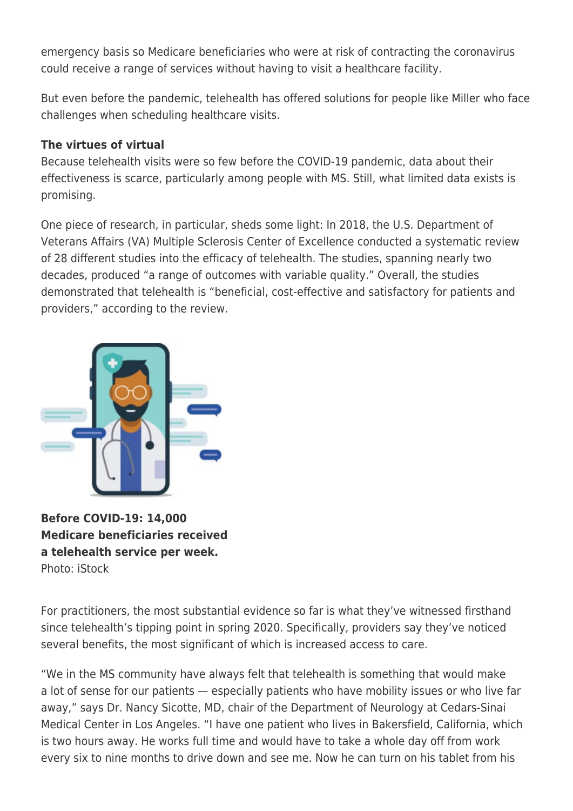emergency basis so Medicare beneficiaries who were at risk of contracting the coronavirus could receive a range of services without having to visit a healthcare facility.

But even before the pandemic, telehealth has offered solutions for people like Miller who face challenges when scheduling healthcare visits.

#### **The virtues of virtual**

Because telehealth visits were so few before the COVID-19 pandemic, data about their effectiveness is scarce, particularly among people with MS. Still, what limited data exists is promising.

One piece of research, in particular, sheds some light: In 2018, the U.S. Department of Veterans Affairs (VA) Multiple Sclerosis Center of Excellence conducted a systematic review of 28 different studies into the efficacy of telehealth. The studies, spanning nearly two decades, produced "a range of outcomes with variable quality." Overall, the studies demonstrated that telehealth is "beneficial, cost-effective and satisfactory for patients and providers," according to the review.



**Before COVID-19: 14,000 Medicare beneficiaries received a telehealth service per week.** Photo: iStock

For practitioners, the most substantial evidence so far is what they've witnessed firsthand since telehealth's tipping point in spring 2020. Specifically, providers say they've noticed several benefits, the most significant of which is increased access to care.

"We in the MS community have always felt that telehealth is something that would make a lot of sense for our patients — especially patients who have mobility issues or who live far away," says Dr. Nancy Sicotte, MD, chair of the Department of Neurology at Cedars-Sinai Medical Center in Los Angeles. "I have one patient who lives in Bakersfield, California, which is two hours away. He works full time and would have to take a whole day off from work every six to nine months to drive down and see me. Now he can turn on his tablet from his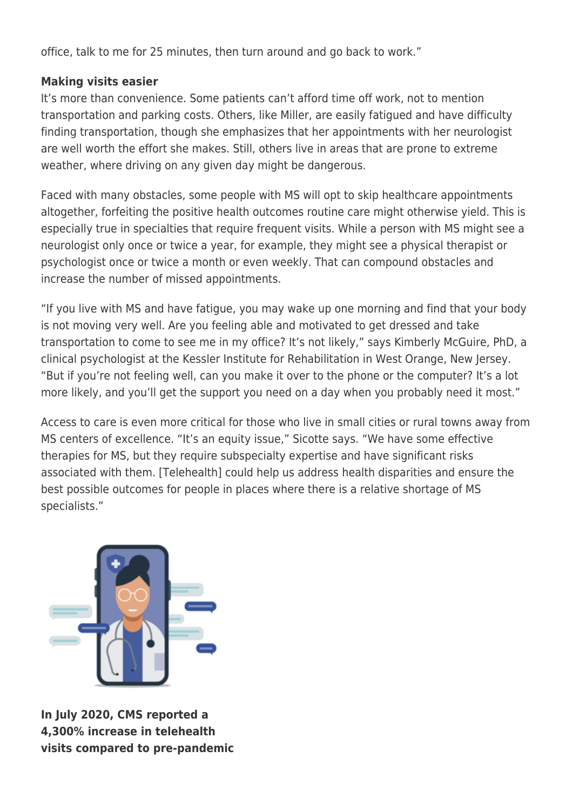office, talk to me for 25 minutes, then turn around and go back to work."

#### **Making visits easier**

It's more than convenience. Some patients can't afford time off work, not to mention transportation and parking costs. Others, like Miller, are easily fatigued and have difficulty finding transportation, though she emphasizes that her appointments with her neurologist are well worth the effort she makes. Still, others live in areas that are prone to extreme weather, where driving on any given day might be dangerous.

Faced with many obstacles, some people with MS will opt to skip healthcare appointments altogether, forfeiting the positive health outcomes routine care might otherwise yield. This is especially true in specialties that require frequent visits. While a person with MS might see a neurologist only once or twice a year, for example, they might see a physical therapist or psychologist once or twice a month or even weekly. That can compound obstacles and increase the number of missed appointments.

"If you live with MS and have fatigue, you may wake up one morning and find that your body is not moving very well. Are you feeling able and motivated to get dressed and take transportation to come to see me in my office? It's not likely," says Kimberly McGuire, PhD, a clinical psychologist at the Kessler Institute for Rehabilitation in West Orange, New Jersey. "But if you're not feeling well, can you make it over to the phone or the computer? It's a lot more likely, and you'll get the support you need on a day when you probably need it most."

Access to care is even more critical for those who live in small cities or rural towns away from MS centers of excellence. "It's an equity issue," Sicotte says. "We have some effective therapies for MS, but they require subspecialty expertise and have significant risks associated with them. [Telehealth] could help us address health disparities and ensure the best possible outcomes for people in places where there is a relative shortage of MS specialists."



**In July 2020, CMS reported a 4,300% increase in telehealth visits compared to pre-pandemic**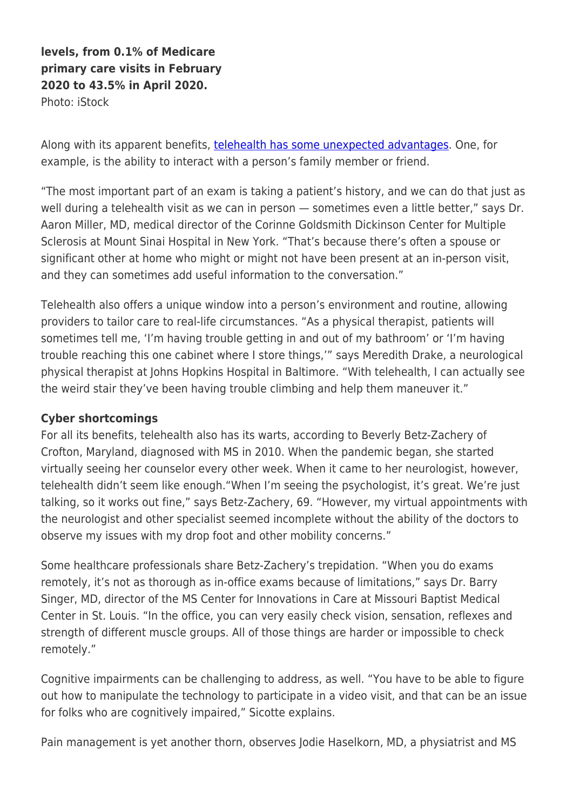**levels, from 0.1% of Medicare primary care visits in February 2020 to 43.5% in April 2020.** Photo: iStock

Along with its apparent benefits, [telehealth has some unexpected advantages](https://momentummagazineonline.com/connected-to-care/). One, for example, is the ability to interact with a person's family member or friend.

"The most important part of an exam is taking a patient's history, and we can do that just as well during a telehealth visit as we can in person — sometimes even a little better," says Dr. Aaron Miller, MD, medical director of the Corinne Goldsmith Dickinson Center for Multiple Sclerosis at Mount Sinai Hospital in New York. "That's because there's often a spouse or significant other at home who might or might not have been present at an in-person visit, and they can sometimes add useful information to the conversation."

Telehealth also offers a unique window into a person's environment and routine, allowing providers to tailor care to real-life circumstances. "As a physical therapist, patients will sometimes tell me, 'I'm having trouble getting in and out of my bathroom' or 'I'm having trouble reaching this one cabinet where I store things,'" says Meredith Drake, a neurological physical therapist at Johns Hopkins Hospital in Baltimore. "With telehealth, I can actually see the weird stair they've been having trouble climbing and help them maneuver it."

#### **Cyber shortcomings**

For all its benefits, telehealth also has its warts, according to Beverly Betz-Zachery of Crofton, Maryland, diagnosed with MS in 2010. When the pandemic began, she started virtually seeing her counselor every other week. When it came to her neurologist, however, telehealth didn't seem like enough."When I'm seeing the psychologist, it's great. We're just talking, so it works out fine," says Betz-Zachery, 69. "However, my virtual appointments with the neurologist and other specialist seemed incomplete without the ability of the doctors to observe my issues with my drop foot and other mobility concerns."

Some healthcare professionals share Betz-Zachery's trepidation. "When you do exams remotely, it's not as thorough as in-office exams because of limitations," says Dr. Barry Singer, MD, director of the MS Center for Innovations in Care at Missouri Baptist Medical Center in St. Louis. "In the office, you can very easily check vision, sensation, reflexes and strength of different muscle groups. All of those things are harder or impossible to check remotely."

Cognitive impairments can be challenging to address, as well. "You have to be able to figure out how to manipulate the technology to participate in a video visit, and that can be an issue for folks who are cognitively impaired," Sicotte explains.

Pain management is yet another thorn, observes Jodie Haselkorn, MD, a physiatrist and MS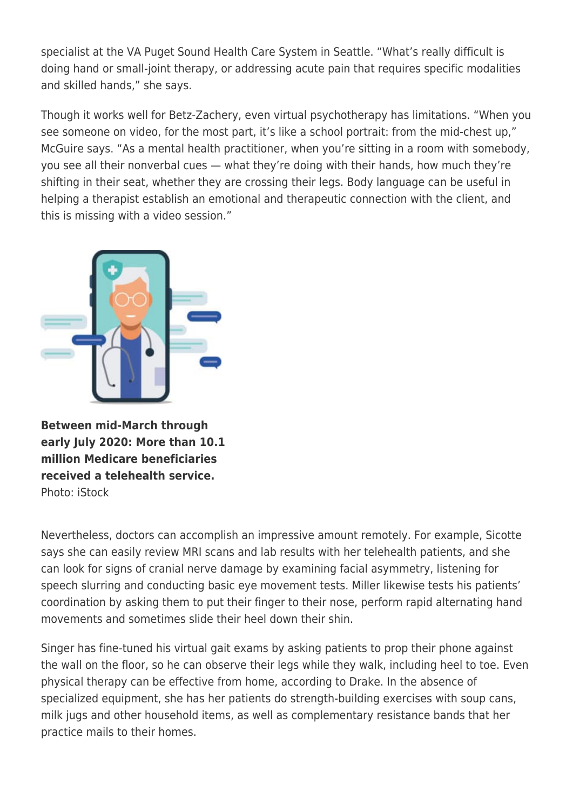specialist at the VA Puget Sound Health Care System in Seattle. "What's really difficult is doing hand or small-joint therapy, or addressing acute pain that requires specific modalities and skilled hands," she says.

Though it works well for Betz-Zachery, even virtual psychotherapy has limitations. "When you see someone on video, for the most part, it's like a school portrait: from the mid-chest up," McGuire says. "As a mental health practitioner, when you're sitting in a room with somebody, you see all their nonverbal cues — what they're doing with their hands, how much they're shifting in their seat, whether they are crossing their legs. Body language can be useful in helping a therapist establish an emotional and therapeutic connection with the client, and this is missing with a video session."



**Between mid-March through early July 2020: More than 10.1 million Medicare beneficiaries received a telehealth service.** Photo: iStock

Nevertheless, doctors can accomplish an impressive amount remotely. For example, Sicotte says she can easily review MRI scans and lab results with her telehealth patients, and she can look for signs of cranial nerve damage by examining facial asymmetry, listening for speech slurring and conducting basic eye movement tests. Miller likewise tests his patients' coordination by asking them to put their finger to their nose, perform rapid alternating hand movements and sometimes slide their heel down their shin.

Singer has fine-tuned his virtual gait exams by asking patients to prop their phone against the wall on the floor, so he can observe their legs while they walk, including heel to toe. Even physical therapy can be effective from home, according to Drake. In the absence of specialized equipment, she has her patients do strength-building exercises with soup cans, milk jugs and other household items, as well as complementary resistance bands that her practice mails to their homes.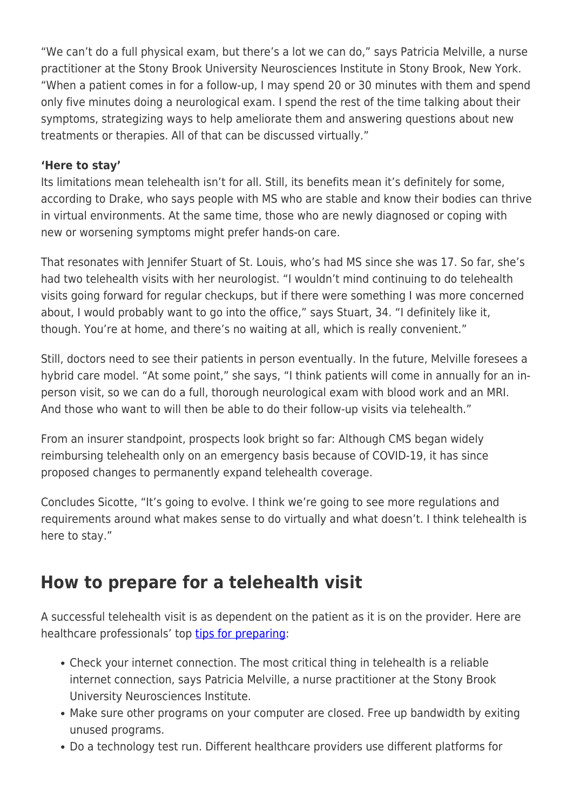"We can't do a full physical exam, but there's a lot we can do," says Patricia Melville, a nurse practitioner at the Stony Brook University Neurosciences Institute in Stony Brook, New York. "When a patient comes in for a follow-up, I may spend 20 or 30 minutes with them and spend only five minutes doing a neurological exam. I spend the rest of the time talking about their symptoms, strategizing ways to help ameliorate them and answering questions about new treatments or therapies. All of that can be discussed virtually."

### **'Here to stay'**

Its limitations mean telehealth isn't for all. Still, its benefits mean it's definitely for some, according to Drake, who says people with MS who are stable and know their bodies can thrive in virtual environments. At the same time, those who are newly diagnosed or coping with new or worsening symptoms might prefer hands-on care.

That resonates with Jennifer Stuart of St. Louis, who's had MS since she was 17. So far, she's had two telehealth visits with her neurologist. "I wouldn't mind continuing to do telehealth visits going forward for regular checkups, but if there were something I was more concerned about. I would probably want to go into the office," says Stuart, 34, "I definitely like it, though. You're at home, and there's no waiting at all, which is really convenient."

Still, doctors need to see their patients in person eventually. In the future, Melville foresees a hybrid care model. "At some point," she says, "I think patients will come in annually for an inperson visit, so we can do a full, thorough neurological exam with blood work and an MRI. And those who want to will then be able to do their follow-up visits via telehealth."

From an insurer standpoint, prospects look bright so far: Although CMS began widely reimbursing telehealth only on an emergency basis because of COVID-19, it has since proposed changes to permanently expand telehealth coverage.

Concludes Sicotte, "It's going to evolve. I think we're going to see more regulations and requirements around what makes sense to do virtually and what doesn't. I think telehealth is here to stay."

### **How to prepare for a telehealth visit**

A successful telehealth visit is as dependent on the patient as it is on the provider. Here are healthcare professionals' top [tips for preparing:](https://www.nationalmssociety.org/Treating-MS/Comprehensive-Care/Make-the-Most-of-Your-Doctor-Visits/Tips-for-Successful-Telemedicine)

- Check your internet connection. The most critical thing in telehealth is a reliable internet connection, says Patricia Melville, a nurse practitioner at the Stony Brook University Neurosciences Institute.
- Make sure other programs on your computer are closed. Free up bandwidth by exiting unused programs.
- Do a technology test run. Different healthcare providers use different platforms for